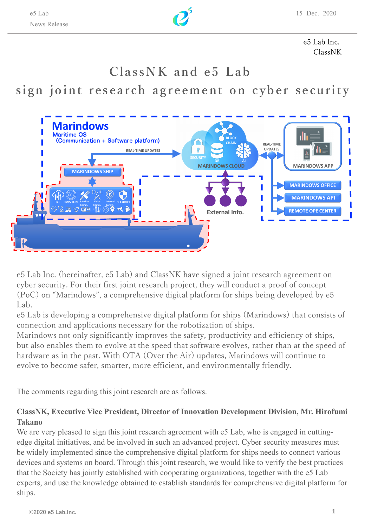

e5 Lab Inc. ClassNK

# **ClassNK and e5 Lab**

# **sign joint research agreement on cyber security**



e5 Lab Inc. (hereinafter, e5 Lab) and ClassNK have signed a joint research agreement on cyber security. For their first joint research project, they will conduct a proof of concept (PoC) on "Marindows", a comprehensive digital platform for ships being developed by e5 Lab.

e5 Lab is developing a comprehensive digital platform for ships (Marindows) that consists of connection and applications necessary for the robotization of ships.

Marindows not only significantly improves the safety, productivity and efficiency of ships, but also enables them to evolve at the speed that software evolves, rather than at the speed of hardware as in the past. With OTA (Over the Air) updates, Marindows will continue to evolve to become safer, smarter, more efficient, and environmentally friendly.

The comments regarding this joint research are as follows.

## **ClassNK, Executive Vice President, Director of Innovation Development Division, Mr. Hirofumi Takano**

We are very pleased to sign this joint research agreement with e5 Lab, who is engaged in cuttingedge digital initiatives, and be involved in such an advanced project. Cyber security measures must be widely implemented since the comprehensive digital platform for ships needs to connect various devices and systems on board. Through this joint research, we would like to verify the best practices that the Society has jointly established with cooperating organizations, together with the e5 Lab experts, and use the knowledge obtained to establish standards for comprehensive digital platform for ships.